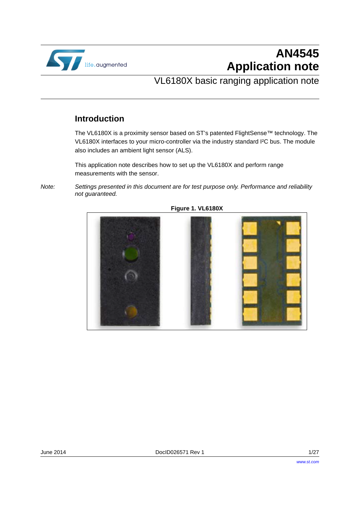

# **AN4545 Application note**

## VL6180X basic ranging application note

### **Introduction**

The VL6180X is a proximity sensor based on ST's patented FlightSense™ technology. The VL6180X interfaces to your micro-controller via the industry standard I²C bus. The module also includes an ambient light sensor (ALS).

This application note describes how to set up the VL6180X and perform range measurements with the sensor.

*Note: Settings presented in this document are for test purpose only. Performance and reliability not guaranteed.*



**Figure 1. VL6180X**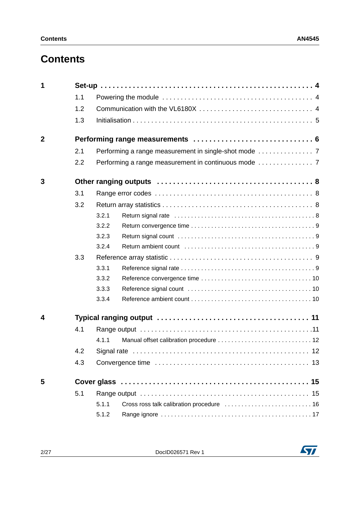## **Contents**

| 1              |     |       |  |  |  |  |
|----------------|-----|-------|--|--|--|--|
|                | 1.1 |       |  |  |  |  |
|                | 1.2 |       |  |  |  |  |
|                | 1.3 |       |  |  |  |  |
| $\overline{2}$ |     |       |  |  |  |  |
|                | 2.1 |       |  |  |  |  |
|                | 2.2 |       |  |  |  |  |
| 3              |     |       |  |  |  |  |
|                | 3.1 |       |  |  |  |  |
|                | 3.2 |       |  |  |  |  |
|                |     | 3.2.1 |  |  |  |  |
|                |     | 3.2.2 |  |  |  |  |
|                |     | 3.2.3 |  |  |  |  |
|                |     | 3.2.4 |  |  |  |  |
|                | 3.3 |       |  |  |  |  |
|                |     | 3.3.1 |  |  |  |  |
|                |     | 3.3.2 |  |  |  |  |
|                |     | 3.3.3 |  |  |  |  |
|                |     | 3.3.4 |  |  |  |  |
| 4              |     |       |  |  |  |  |
|                | 4.1 |       |  |  |  |  |
|                |     | 4.1.1 |  |  |  |  |
|                | 4.2 |       |  |  |  |  |
|                | 4.3 | 13    |  |  |  |  |
| 5              |     |       |  |  |  |  |
|                | 5.1 |       |  |  |  |  |
|                |     | 5.1.1 |  |  |  |  |
|                |     | 5.1.2 |  |  |  |  |

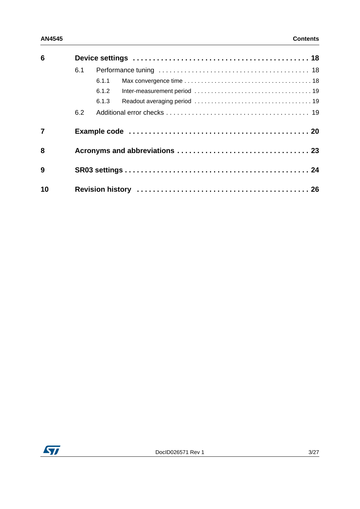| 6              |     |       |  |  |  |
|----------------|-----|-------|--|--|--|
|                | 6.1 |       |  |  |  |
|                |     | 6.1.1 |  |  |  |
|                |     | 6.1.2 |  |  |  |
|                |     | 6.1.3 |  |  |  |
|                | 6.2 |       |  |  |  |
| $\overline{7}$ |     |       |  |  |  |
| 8              |     |       |  |  |  |
| 9              |     |       |  |  |  |
| 10             |     |       |  |  |  |

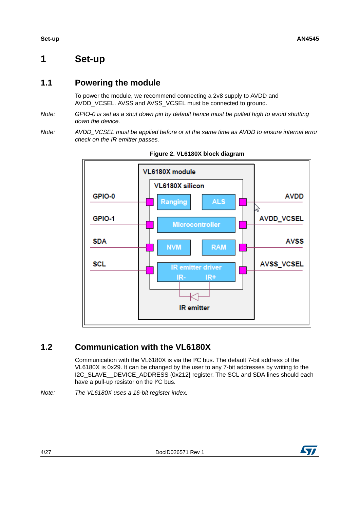## **1 Set-up**

### **1.1 Powering the module**

To power the module, we recommend connecting a 2v8 supply to AVDD and AVDD VCSEL. AVSS and AVSS VCSEL must be connected to ground.

- *Note: GPIO-0 is set as a shut down pin by default hence must be pulled high to avoid shutting down the device.*
- *Note: AVDD\_VCSEL must be applied before or at the same time as AVDD to ensure internal error check on the IR emitter passes.*



**Figure 2. VL6180X block diagram**

### **1.2 Communication with the VL6180X**

Communication with the VL6180X is via the I²C bus. The default 7-bit address of the VL6180X is 0x29. It can be changed by the user to any 7-bit addresses by writing to the I2C\_SLAVE\_\_DEVICE\_ADDRESS {0x212} register. The SCL and SDA lines should each have a pull-up resistor on the I²C bus.

*Note: The VL6180X uses a 16-bit register index.* 



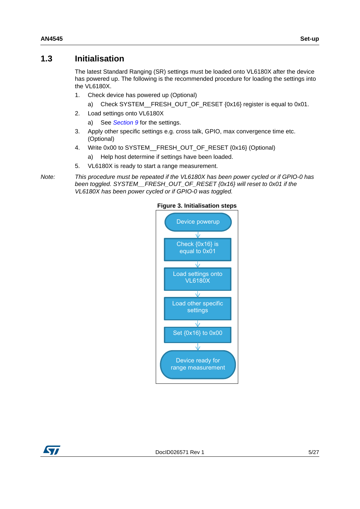### <span id="page-4-0"></span>**1.3 Initialisation**

The latest Standard Ranging (SR) settings must be loaded onto VL6180X after the device has powered up. The following is the recommended procedure for loading the settings into the VL6180X.

- 1. Check device has powered up (Optional)
	- a) Check SYSTEM\_\_FRESH\_OUT\_OF\_RESET {0x16} register is equal to 0x01.
- 2. Load settings onto VL6180X
	- a) See *[Section 9](#page-23-0)* for the settings.
- 3. Apply other specific settings e.g. cross talk, GPIO, max convergence time etc. (Optional)
- 4. Write 0x00 to SYSTEM\_\_FRESH\_OUT\_OF\_RESET {0x16} (Optional)
	- a) Help host determine if settings have been loaded.
- 5. VL6180X is ready to start a range measurement.

*Note: This procedure must be repeated if the VL6180X has been power cycled or if GPIO-0 has been toggled. SYSTEM\_\_FRESH\_OUT\_OF\_RESET {0x16} will reset to 0x01 if the VL6180X has been power cycled or if GPIO-0 was toggled.*



#### **Figure 3. Initialisation steps**

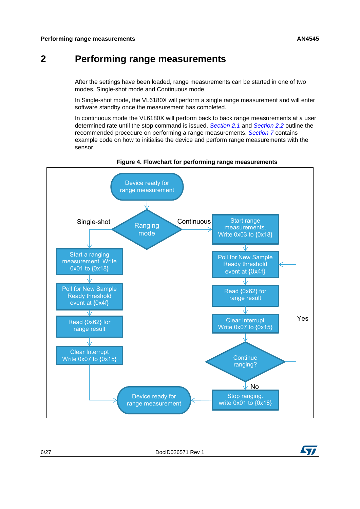## **2 Performing range measurements**

After the settings have been loaded, range measurements can be started in one of two modes, Single-shot mode and Continuous mode.

In Single-shot mode, the VL6180X will perform a single range measurement and will enter software standby once the measurement has completed.

In continuous mode the VL6180X will perform back to back range measurements at a user determined rate until the stop command is issued. *[Section 2.1](#page-6-0)* and *[Section 2.2](#page-6-1)* outline the recommended procedure on performing a range measurements. *[Section 7](#page-19-0)* contains example code on how to initialise the device and perform range measurements with the sensor.



#### **Figure 4. Flowchart for performing range measurements**

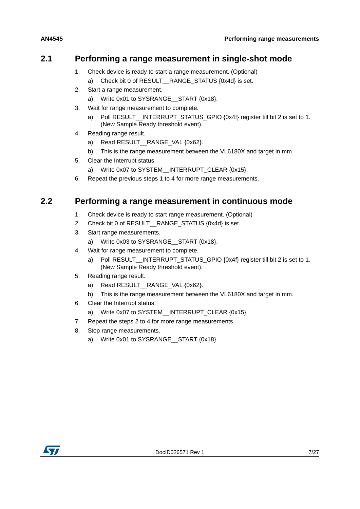### <span id="page-6-0"></span>**2.1 Performing a range measurement in single-shot mode**

- 1. Check device is ready to start a range measurement. (Optional)
	- a) Check bit 0 of RESULT\_RANGE\_STATUS {0x4d} is set.
- 2. Start a range measurement.
	- a) Write 0x01 to SYSRANGE\_\_START {0x18}.
- 3. Wait for range measurement to complete.
	- a) Poll RESULT INTERRUPT STATUS GPIO {0x4f} register till bit 2 is set to 1. (New Sample Ready threshold event).
- 4. Reading range result.
	- a) Read RESULT RANGE VAL {0x62}.
	- b) This is the range measurement between the VL6180X and target in mm
- 5. Clear the Interrupt status.
	- a) Write 0x07 to SYSTEM INTERRUPT CLEAR {0x15}.
- 6. Repeat the previous steps 1 to 4 for more range measurements.

### <span id="page-6-1"></span>**2.2 Performing a range measurement in continuous mode**

- 1. Check device is ready to start range measurement. (Optional)
- 2. Check bit 0 of RESULT RANGE STATUS {0x4d} is set.
- 3. Start range measurements.
	- a) Write 0x03 to SYSRANGE START {0x18}.
- 4. Wait for range measurement to complete.
	- a) Poll RESULT\_\_INTERRUPT\_STATUS\_GPIO {0x4f} register till bit 2 is set to 1. (New Sample Ready threshold event).
- 5. Reading range result.
	- a) Read RESULT\_\_RANGE\_VAL {0x62}.
	- b) This is the range measurement between the VL6180X and target in mm.
- 6. Clear the Interrupt status.
	- a) Write 0x07 to SYSTEM\_\_INTERRUPT\_CLEAR {0x15}.
- 7. Repeat the steps 2 to 4 for more range measurements.
- 8. Stop range measurements.
	- a) Write 0x01 to SYSRANGE\_\_START {0x18}.

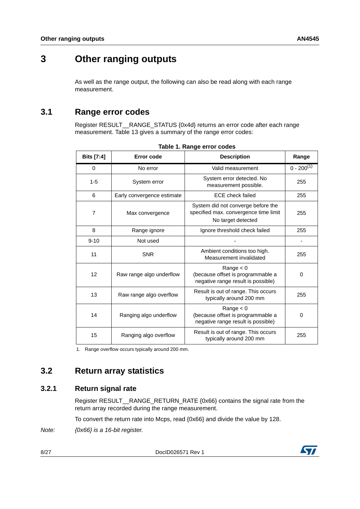## **3 Other ranging outputs**

As well as the range output, the following can also be read along with each range measurement.

### **3.1 Range error codes**

Register RESULT\_\_RANGE\_STATUS {0x4d} returns an error code after each range measurement. Table 13 gives a summary of the range error codes:

| <b>Bits</b> [7:4] | Error code                 | <b>Description</b>                                                                                | Range           |
|-------------------|----------------------------|---------------------------------------------------------------------------------------------------|-----------------|
| 0                 | No error                   | Valid measurement                                                                                 | $0 - 200^{(1)}$ |
| $1 - 5$           | System error               | System error detected. No<br>measurement possible.                                                | 255             |
| 6                 | Early convergence estimate | <b>ECE</b> check failed                                                                           | 255             |
| 7                 | Max convergence            | System did not converge before the<br>specified max. convergence time limit<br>No target detected | 255             |
| 8                 | Range ignore               | Ignore threshold check failed                                                                     | 255             |
| $9 - 10$          | Not used                   |                                                                                                   |                 |
| 11                | <b>SNR</b>                 | Ambient conditions too high.<br>Measurement invalidated                                           | 255             |
| 12                | Raw range algo underflow   | Range $< 0$<br>(because offset is programmable a<br>negative range result is possible)            | $\Omega$        |
| 13                | Raw range algo overflow    | Result is out of range. This occurs<br>typically around 200 mm                                    | 255             |
| 14                | Ranging algo underflow     | Range $< 0$<br>(because offset is programmable a<br>negative range result is possible)            | 0               |
| 15                | Ranging algo overflow      | Result is out of range. This occurs<br>typically around 200 mm                                    | 255             |

|  | Table 1. Range error codes |  |
|--|----------------------------|--|
|  |                            |  |

1. Range overflow occurs typically around 200 mm.

### **3.2 Return array statistics**

### **3.2.1 Return signal rate**

Register RESULT \_ RANGE\_RETURN\_RATE {0x66} contains the signal rate from the return array recorded during the range measurement.

To convert the return rate into Mcps, read {0x66} and divide the value by 128.

*Note: {0x66} is a 16-bit register.* 

8/27 DocID026571 Rev 1

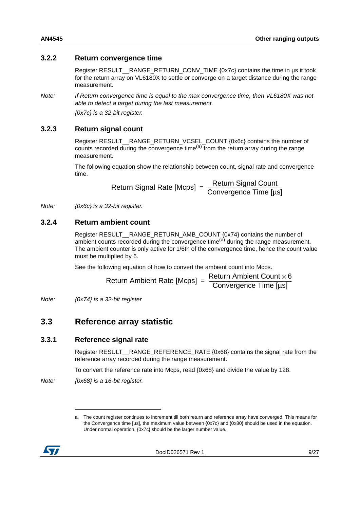#### **3.2.2 Return convergence time**

Register RESULT\_\_RANGE\_RETURN\_CONV\_TIME {0x7c} contains the time in µs it took for the return array on VL6180X to settle or converge on a target distance during the range measurement.

*Note: If Return convergence time is equal to the max convergence time, then VL6180X was not able to detect a target during the last measurement.* 

*{0x7c} is a 32-bit register.* 

#### **3.2.3 Return signal count**

Register RESULT\_\_RANGE\_RETURN\_VCSEL\_COUNT {0x6c} contains the number of counts recorded during the convergence time<sup>(a)</sup> from the return array during the range measurement.

The following equation show the relationship between count, signal rate and convergence time.

Return Signal Rate [Mcps] = Return Signal Count<br>Convergence Time [µs]

*Note: {0x6c} is a 32-bit register.* 

#### **3.2.4 Return ambient count**

Register RESULT\_\_RANGE\_RETURN\_AMB\_COUNT {0x74} contains the number of ambient counts recorded during the convergence time<sup>(a)</sup> during the range measurement. The ambient counter is only active for 1/6th of the convergence time, hence the count value must be multiplied by 6.

See the following equation of how to convert the ambient count into Mcps.

Return Ambient Rate [Mcps] = 
$$
\frac{\text{Return Ambient Count} \times 6}{\text{Convergence Time [µs]}}
$$

*Note: {0x74} is a 32-bit register* 

### **3.3 Reference array statistic**

#### **3.3.1 Reference signal rate**

Register RESULT\_\_RANGE\_REFERENCE\_RATE {0x68} contains the signal rate from the reference array recorded during the range measurement.

To convert the reference rate into Mcps, read {0x68} and divide the value by 128.

*Note: {0x68} is a 16-bit register.* 

a. The count register continues to increment till both return and reference array have converged. This means for the Convergence time [µs], the maximum value between {0x7c} and {0x80} should be used in the equation. Under normal operation, {0x7c} should be the larger number value.

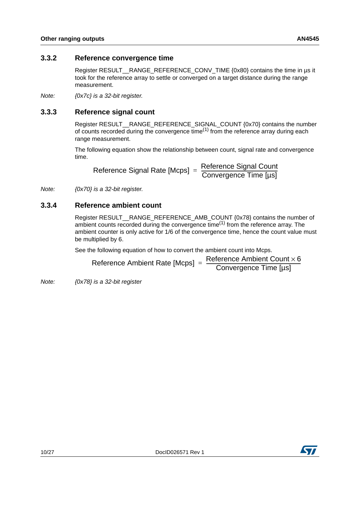#### **3.3.2 Reference convergence time**

Register RESULT\_\_RANGE\_REFERENCE\_CONV\_TIME {0x80} contains the time in µs it took for the reference array to settle or converged on a target distance during the range measurement.

*Note: {0x7c} is a 32-bit register.*

### **3.3.3 Reference signal count**

Register RESULT\_\_RANGE\_REFERENCE\_SIGNAL\_COUNT {0x70} contains the number of counts recorded during the convergence  $time^{(1)}$  from the reference array during each range measurement.

The following equation show the relationship between count, signal rate and convergence time.

 $\mathsf{Reference}$  Signal Rate [Mcps] =  $\frac{\mathsf{Reference} \; \mathsf{Signal} \; \mathsf{Count}}{\mathsf{Convergence} \; \mathsf{Time} \; [\mu s]}$ 

*Note: {0x70} is a 32-bit register.* 

#### **3.3.4 Reference ambient count**

Register RESULT\_\_RANGE\_REFERENCE\_AMB\_COUNT {0x78} contains the number of ambient counts recorded during the convergence time<sup>(1)</sup> from the reference array. The ambient counter is only active for 1/6 of the convergence time, hence the count value must be multiplied by 6.

See the following equation of how to convert the ambient count into Mcps.

| Reference Ambient Rate [Mcps] = | Reference Ambient Count $\times$ 6 |
|---------------------------------|------------------------------------|
|                                 | Convergence Time [µs]              |

*Note: {0x78} is a 32-bit register* 

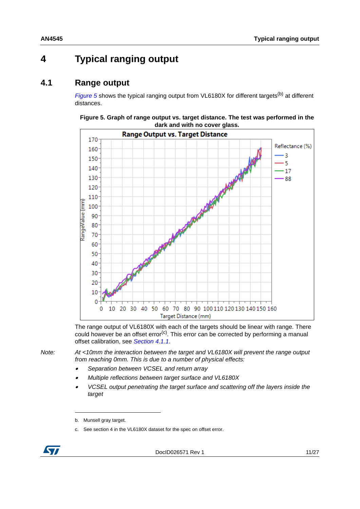## **4 Typical ranging output**

### **4.1 Range output**

*[Figure 5](#page-10-0)* shows the typical ranging output from VL6180X for different targets<sup>(b)</sup> at different distances.



#### <span id="page-10-0"></span>**Figure 5. Graph of range output vs. target distance. The test was performed in the dark and with no cover glass.**

The range output of VL6180X with each of the targets should be linear with range. There could however be an offset error<sup>(c)</sup>. This error can be corrected by performing a manual offset calibration, see *[Section 4.1.1](#page-11-0)*.

*Note: At <10mm the interaction between the target and VL6180X will prevent the range output from reaching 0mm. This is due to a number of physical effects:* 

- •*Separation between VCSEL and return array*
- •*Multiple reflections between target surface and VL6180X*
- • *VCSEL output penetrating the target surface and scattering off the layers inside the target*

c. See section 4 in the VL6180X dataset for the spec on offset error.



b. Munsell gray target.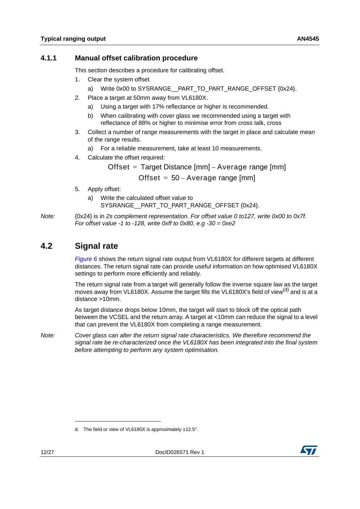#### <span id="page-11-0"></span>**4.1.1 Manual offset calibration procedure**

This section describes a procedure for calibrating offset.

- 1. Clear the system offset
	- a) Write 0x00 to SYSRANGE\_\_PART\_TO\_PART\_RANGE\_OFFSET {0x24}.
- 2. Place a target at 50mm away from VL6180X.
	- a) Using a target with 17% reflectance or higher is recommended.
	- b) When calibrating with cover glass we recommended using a target with reflectance of 88% or higher to minimise error from cross talk, cross
- 3. Collect a number of range measurements with the target in place and calculate mean of the range results.
	- a) For a reliable measurement, take at least 10 measurements.
- 4. Calculate the offset required:

Offset  $=$  Target Distance  $[mm]$  – Average range  $[mm]$ 

Offset  $= 50 - A$ verage range [mm]

- 5. Apply offset:
	- a) Write the calculated offset value to SYSRANGE\_\_PART\_TO\_PART\_RANGE\_OFFSET {0x24}.

*Note:* {0x24} is in *2s complement representation. For offset value 0 to127, write 0x00 to 0x7f. For offset value -1 to -128, write 0xff to 0x80, e.g -30 = 0xe2*

### **4.2 Signal rate**

*[Figure 6](#page-12-0)* shows the return signal rate output from VL6180X for different targets at different distances. The return signal rate can provide useful information on how optimised VL6180X settings to perform more efficiently and reliably.

The return signal rate from a target will generally follow the inverse square law as the target moves away from VL6180X. Assume the target fills the VL6180X's field of view<sup>(d)</sup> and is at a distance >10mm.

As target distance drops below 10mm, the target will start to block off the optical path between the VCSEL and the return array. A target at <10mm can reduce the signal to a level that can prevent the VL6180X from completing a range measurement.

*Note: Cover glass can alter the return signal rate characteristics. We therefore recommend the signal rate be re-characterized once the VL6180X has been integrated into the final system before attempting to perform any system optimisation.*



d. The field or view of VL6180X is approximately ±12.5°.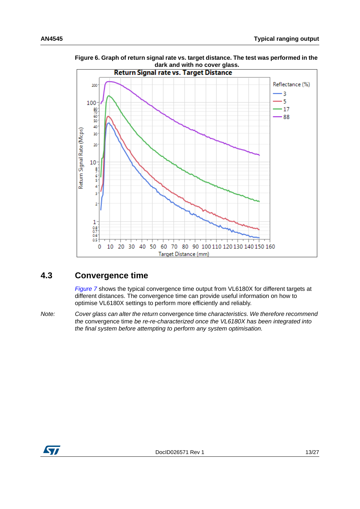

<span id="page-12-0"></span>**Figure 6. Graph of return signal rate vs. target distance. The test was performed in the dark and with no cover glass.**

### **4.3 Convergence time**

*[Figure 7](#page-13-0)* shows the typical convergence time output from VL6180X for different targets at different distances. The convergence time can provide useful information on how to optimise VL6180X settings to perform more efficiently and reliably.

*Note: Cover glass can alter the return* convergence time *characteristics. We therefore recommend the* convergence time *be re-re-characterized once the VL6180X has been integrated into the final system before attempting to perform any system optimisation.*

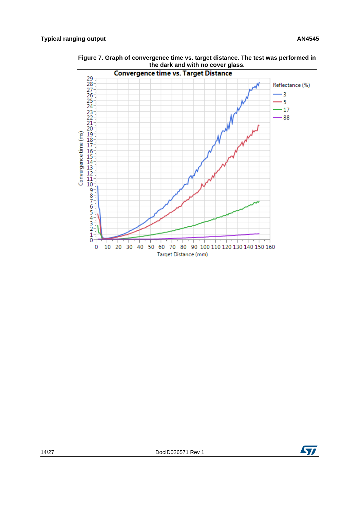

<span id="page-13-0"></span>**Figure 7. Graph of convergence time vs. target distance. The test was performed in the dark and with no cover glass.**

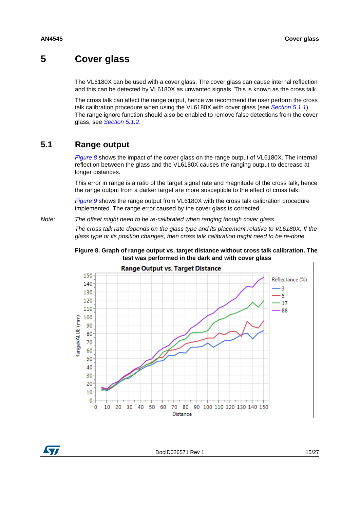### **5 Cover glass**

The VL6180X can be used with a cover glass. The cover glass can cause internal reflection and this can be detected by VL6180X as unwanted signals. This is known as the cross talk.

The cross talk can affect the range output, hence we recommend the user perform the cross talk calibration procedure when using the VL6180X with cover glass (see *[Section 5.1.1](#page-15-1)*). The range ignore function should also be enabled to remove false detections from the cover glass, see *[Section 5.1.2](#page-16-0)*.

### **5.1 Range output**

*[Figure 8](#page-14-0)* shows the impact of the cover glass on the range output of VL6180X. The internal reflection between the glass and the VL6180X causes the ranging output to decrease at longer distances.

This error in range is a ratio of the target signal rate and magnitude of the cross talk, hence the range output from a darker target are more susceptible to the effect of cross talk.

*[Figure 9](#page-15-0)* shows the range output from VL6180X with the cross talk calibration procedure implemented. The range error caused by the cover glass is corrected.

*Note: The offset might need to be re-calibrated when ranging though cover glass.*

*The cross talk rate depends on the glass type and its placement relative to VL6180X. If the glass type or its position changes, then cross talk calibration might need to be re-done.*

<span id="page-14-0"></span>





DocID026571 Rev 1 15/27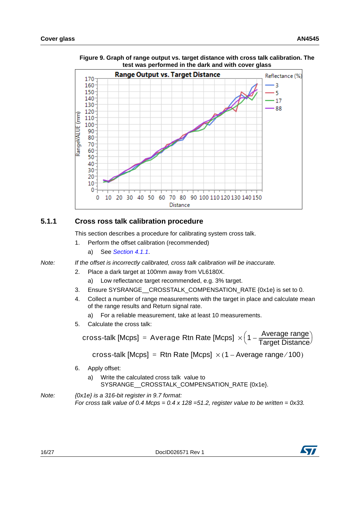

<span id="page-15-0"></span>**Figure 9. Graph of range output vs. target distance with cross talk calibration. The test was performed in the dark and with cover glass**

### <span id="page-15-1"></span>**5.1.1 Cross ross talk calibration procedure**

This section describes a procedure for calibrating system cross talk.

- 1. Perform the offset calibration (recommended)
	- a) See *[Section 4.1.1](#page-11-0)*.

*Note: If the offset is incorrectly calibrated, cross talk calibration will be inaccurate.*

- 2. Place a dark target at 100mm away from VL6180X.
	- a) Low reflectance target recommended, e.g. 3% target.
- 3. Ensure SYSRANGE CROSSTALK COMPENSATION RATE {0x1e} is set to 0.
- 4. Collect a number of range measurements with the target in place and calculate mean of the range results and Return signal rate.
	- a) For a reliable measurement, take at least 10 measurements.
- 5. Calculate the cross talk:

 $\textsf{cross}\text{-}\textsf{talk}\ [\textsf{Mcps}] \ = \ \textsf{Average}\ \textsf{Rtn}\ \textsf{Rate}\ [\textsf{Mcps}] \ \times \Big( \textsf{1} - \frac{\textsf{Average}\ \textsf{range}}{\textsf{Target}\ \textsf{Distance}} \Big).$ 

cross-talk [Mcps] = Rtn Rate [Mcps]  $\times$  (1 – Average range/100)

- 6. Apply offset:
	- a) Write the calculated cross talk value to SYSRANGE\_\_CROSSTALK\_COMPENSATION\_RATE {0x1e}.
- *Note: {0x1e} is a 316-bit register in 9.7 format: For cross talk value of 0.4 Mcps = 0.4 x 128 =51.2, register value to be written = 0x33.*

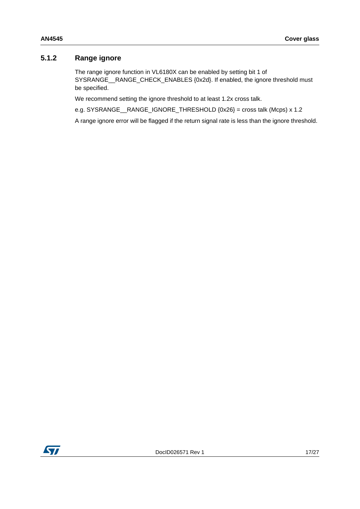#### <span id="page-16-0"></span>**5.1.2 Range ignore**

The range ignore function in VL6180X can be enabled by setting bit 1 of SYSRANGE\_\_RANGE\_CHECK\_ENABLES {0x2d}. If enabled, the ignore threshold must be specified.

We recommend setting the ignore threshold to at least 1.2x cross talk.

e.g. SYSRANGE\_\_RANGE\_IGNORE\_THRESHOLD {0x26} = cross talk (Mcps) x 1.2

A range ignore error will be flagged if the return signal rate is less than the ignore threshold.

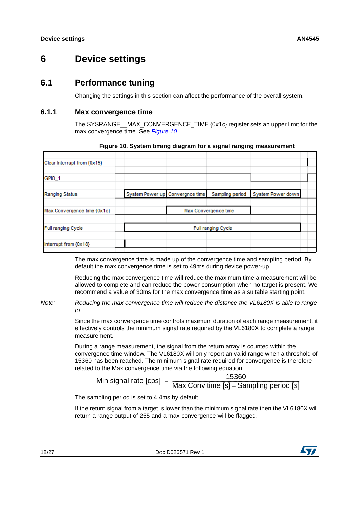## **6 Device settings**

### **6.1 Performance tuning**

Changing the settings in this section can affect the performance of the overall system.

#### **6.1.1 Max convergence time**

<span id="page-17-0"></span>The SYSRANGE\_\_MAX\_CONVERGENCE\_TIME {0x1c} register sets an upper limit for the max convergence time. See *[Figure 10](#page-17-0)*.

|  | Sampling period                 | System Power down                          |  |
|--|---------------------------------|--------------------------------------------|--|
|  |                                 |                                            |  |
|  |                                 |                                            |  |
|  |                                 |                                            |  |
|  | System Power up Convergnce time | Max Convergence time<br>Full ranging Cycle |  |

#### **Figure 10. System timing diagram for a signal ranging measurement**

The max convergence time is made up of the convergence time and sampling period. By default the max convergence time is set to 49ms during device power-up.

Reducing the max convergence time will reduce the maximum time a measurement will be allowed to complete and can reduce the power consumption when no target is present. We recommend a value of 30ms for the max convergence time as a suitable starting point.

*Note: Reducing the max convergence time will reduce the distance the VL6180X is able to range to.*

> Since the max convergence time controls maximum duration of each range measurement, it effectively controls the minimum signal rate required by the VL6180X to complete a range measurement.

> During a range measurement, the signal from the return array is counted within the convergence time window. The VL6180X will only report an valid range when a threshold of 15360 has been reached. The minimum signal rate required for convergence is therefore related to the Max convergence time via the following equation.

Min signal rate  $[cps] = 15360$ Max Conv time [s] - Sampling period [s]

The sampling period is set to 4.4ms by default.

If the return signal from a target is lower than the minimum signal rate then the VL6180X will return a range output of 255 and a max convergence will be flagged.

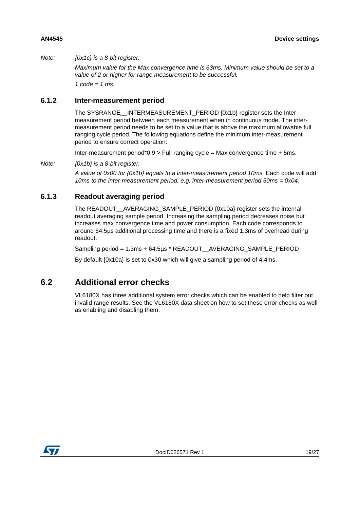#### *Note: {0x1c} is a 8-bit register.*

*Maximum value for the Max convergence time is 63ms. Minimum value should be set to a value of 2 or higher for range measurement to be successful. 1 code = 1 ms.*

#### **6.1.2 Inter-measurement period**

The SYSRANGE\_\_INTERMEASUREMENT\_PERIOD {0x1b} register sets the Intermeasurement period between each measurement when in continuous mode. The intermeasurement period needs to be set to a value that is above the maximum allowable full ranging cycle period. The following equations define the minimum inter-measurement period to ensure correct operation:

Inter-measurement period\*0.9 > Full ranging cycle = Max convergence time + 5ms.

*Note: {0x1b} is a 8-bit register.*

*A value of 0x00 for {0x1b} equals to a inter-measurement period 10ms.* Each code will add *10ms to the inter-measurement period. e.g. inter-measurement period 50ms = 0x04.*

### **6.1.3 Readout averaging period**

The READOUT\_\_AVERAGING\_SAMPLE\_PERIOD {0x10a} register sets the internal readout averaging sample period. Increasing the sampling period decreases noise but increases max convergence time and power consumption. Each code corresponds to around 64.5µs additional processing time and there is a fixed 1.3ms of overhead during readout.

Sampling period = 1.3ms + 64.5µs \* READOUT\_\_AVERAGING\_SAMPLE\_PERIOD

By default {0x10a} is set to 0x30 which will give a sampling period of 4.4ms.

### **6.2 Additional error checks**

VL6180X has three additional system error checks which can be enabled to help filter out invalid range results. See the VL6180X data sheet on how to set these error checks as well as enabling and disabling them.

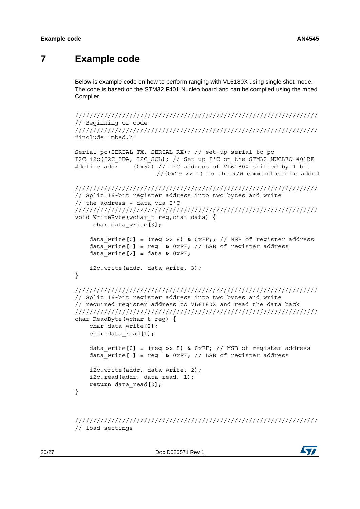### <span id="page-19-0"></span>**7 Example code**

Below is example code on how to perform ranging with VL6180X using single shot mode. The code is based on the STM32 F401 Nucleo board and can be compiled using the mbed Compiler.

```
///////////////////////////////////////////////////////////////////
// Beginning of code
///////////////////////////////////////////////////////////////////
#include "mbed.h"
Serial pc(SERIAL_TX, SERIAL_RX); // set-up serial to pc
I2C i2c(I2C SDA<sub>c</sub>\overline{I2C} SCL); \overline{1} Set up I<sup>2</sup>C on the STM32 NUCLEO-401RE
#define addr (0x52) // I²C address of VL6180X shifted by 1 bit 
                       //(0x29 << 1) so the R/W command can be added
///////////////////////////////////////////////////////////////////
// Split 16-bit register address into two bytes and write 
// the address + data via I²C
///////////////////////////////////////////////////////////////////
void WriteByte(wchar_t reg,char data) {
      char data_write[3];
     data_write[0] = (reg >> 8) & 0xFF;; // MSB of register address
     data_write[1] = reg & 0xFF; // LSB of register address
     data_write[2] = data & 0xFF;
     i2c.write(addr, data_write, 3);
}
///////////////////////////////////////////////////////////////////
// Split 16-bit register address into two bytes and write 
// required register address to VL6180X and read the data back
///////////////////////////////////////////////////////////////////
char ReadByte(wchar_t reg) {
     char data_write[2];
     char data_read[1];
     data_write[0] = (reg >> 8) & 0xFF; // MSB of register address
     data_write[1] = reg & 0xFF; // LSB of register address
     i2c.write(addr, data_write, 2);
     i2c.read(addr, data_read, 1);
     return data_read[0];
}
```
/////////////////////////////////////////////////////////////////// // load settings

20/27 DocID026571 Rev 1

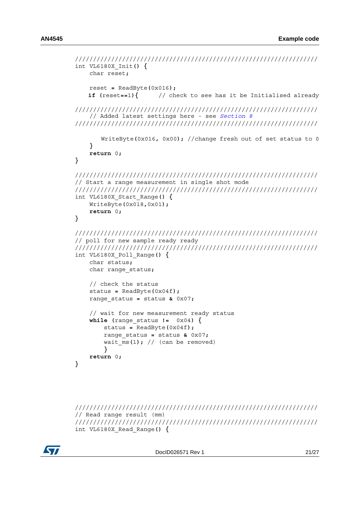```
///////////////////////////////////////////////////////////////////
int VL6180X_Init() {
     char reset;
     reset = ReadByte(0x016);
    if (reset==1){ // check to see has it be Initialised already
///////////////////////////////////////////////////////////////////
    // Added latest settings here - see Section 8
///////////////////////////////////////////////////////////////////
        WriteByte(0x016, 0x00); //change fresh out of set status to 0
     }
     return 0;
}
///////////////////////////////////////////////////////////////////
// Start a range measurement in single shot mode
///////////////////////////////////////////////////////////////////
int VL6180X_Start_Range() {
     WriteByte(0x018,0x01);
     return 0;
}
///////////////////////////////////////////////////////////////////
// poll for new sample ready ready
///////////////////////////////////////////////////////////////////
int VL6180X_Poll_Range() {
     char status;
     char range_status;
     // check the status
     status = ReadByte(0x04f); 
     range_status = status & 0x07;
     // wait for new measurement ready status
     while (range_status != 0x04) {
         status = ReadByte(0x04f);
         range_status = status & 0x07;
        wait \overline{ms(1)}; // (can be removed)
 }
     return 0;
}
```

```
///////////////////////////////////////////////////////////////////
// Read range result (mm)
///////////////////////////////////////////////////////////////////
int VL6180X_Read_Range() {
```
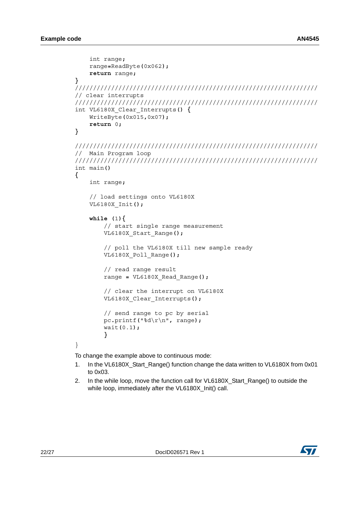```
 int range;
     range=ReadByte(0x062);
     return range;
}
///////////////////////////////////////////////////////////////////
// clear interrupts
///////////////////////////////////////////////////////////////////
int VL6180X_Clear_Interrupts() {
     WriteByte(0x015,0x07);
     return 0;
}
///////////////////////////////////////////////////////////////////
// Main Program loop
///////////////////////////////////////////////////////////////////
int main()
{
     int range;
     // load settings onto VL6180X
     VL6180X_Init();
     while (1){
         // start single range measurement
         VL6180X_Start_Range();
         // poll the VL6180X till new sample ready
         VL6180X_Poll_Range();
         // read range result
         range = VL6180X_Read_Range();
         // clear the interrupt on VL6180X
         VL6180X_Clear_Interrupts();
         // send range to pc by serial
         pc.printf("%d\r\n", range);
         wait(0.1);
         }
}
To change the example above to continuous mode:
```
- 1. In the VL6180X\_Start\_Range() function change the data written to VL6180X from 0x01 to 0x03.
- 2. In the while loop, move the function call for VL6180X\_Start\_Range() to outside the while loop, immediately after the VL6180X Init() call.

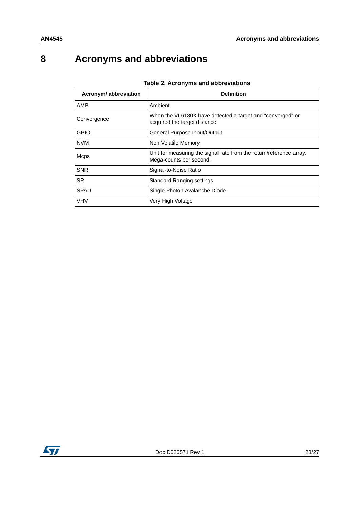## <span id="page-22-0"></span>**8 Acronyms and abbreviations**

| Acronym/abbreviation | <b>Definition</b>                                                                              |
|----------------------|------------------------------------------------------------------------------------------------|
| AMB                  | Ambient                                                                                        |
| Convergence          | When the VL6180X have detected a target and "converged" or<br>acquired the target distance     |
| <b>GPIO</b>          | General Purpose Input/Output                                                                   |
| <b>NVM</b>           | Non Volatile Memory                                                                            |
| Mcps                 | Unit for measuring the signal rate from the return/reference array.<br>Mega-counts per second. |
| <b>SNR</b>           | Signal-to-Noise Ratio                                                                          |
| <b>SR</b>            | <b>Standard Ranging settings</b>                                                               |
| <b>SPAD</b>          | Single Photon Avalanche Diode                                                                  |
| <b>VHV</b>           | Very High Voltage                                                                              |

#### **Table 2. Acronyms and abbreviations**

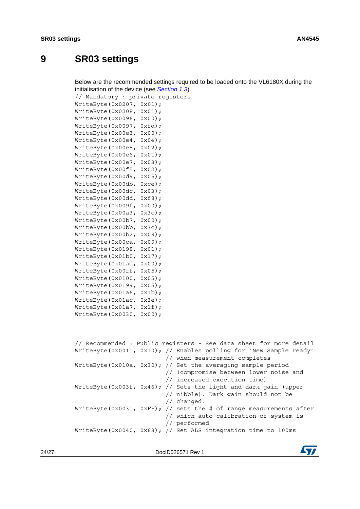## <span id="page-23-0"></span>**9 SR03 settings**

Below are the recommended settings required to be loaded onto the VL6180X during the initialisation of the device (see *[Section 1.3](#page-4-0)*).

// Mandatory : private registers WriteByte**(**0x0207**,** 0x01**);**

| WriteByte(0x0208, | $0x01$ );         |
|-------------------|-------------------|
| WriteByte(0x0096, | $0x00$ );         |
| WriteByte(0x0097, | $0xfd$ );         |
| WriteByte(0x00e3, | $0x00$ );         |
| WriteByte(0x00e4, | $0x04$ );         |
| WriteByte(0x00e5, | $0x02$ );         |
| WriteByte(0x00e6, | $0x01$ );         |
| WriteByte(0x00e7, | $0x03$ );         |
| WriteByte(0x00f5, | $0x02$ );         |
| WriteByte(0x00d9, | $0x05$ );         |
| WriteByte(0x00db, | $0 \times c e$ ); |
| WriteByte(0x00dc, | $0x03$ );         |
| WriteByte(0x00dd, | $0xf8$ );         |
| WriteByte(0x009f, | $0x00$ ;          |
| WriteByte(0x00a3, | $0x3c$ );         |
| WriteByte(0x00b7, | $0x00$ );         |
| WriteByte(0x00bb, | $0x3c$ );         |
| WriteByte(0x00b2, | $0x09$ );         |
| WriteByte(0x00ca, | $0x09$ );         |
| WriteByte(0x0198, | $0x01$ );         |
| WriteByte(0x01b0, | $0x17$ );         |
| WriteByte(0x01ad, | $0x00$ );         |
| WriteByte(0x00ff, | $0x05$ );         |
| WriteByte(0x0100, | $0x05$ );         |
| WriteByte(0x0199, | $0x05$ );         |
| WriteByte(0x01a6, | $0x1b)$ ;         |
| WriteByte(0x01ac, | $0x3e$ );         |
| WriteByte(0x01a7, | $0x1f$ );         |
| WriteByte(0x0030, | $0x00$ );         |
|                   |                   |
|                   |                   |

|  | // Recommended : Public registers - See data sheet for more detail |
|--|--------------------------------------------------------------------|
|  | WriteByte(0x0011, 0x10); // Enables polling for 'New Sample ready' |
|  | // when measurement completes                                      |
|  | WriteByte(0x010a, 0x30); // Set the averaging sample period        |
|  | // (compromise between lower noise and                             |
|  | // increased execution time)                                       |
|  | WriteByte(0x003f, 0x46); // Sets the light and dark gain (upper    |
|  | // nibble). Dark gain should not be                                |
|  | $//$ changed.                                                      |
|  | WriteByte(0x0031, 0xFF); // sets the # of range measurements after |
|  | // which auto calibration of system is                             |
|  | // performed                                                       |
|  | WriteByte(0x0040, 0x63); // Set ALS integration time to 100ms      |
|  |                                                                    |

24/27 DocID026571 Rev 1

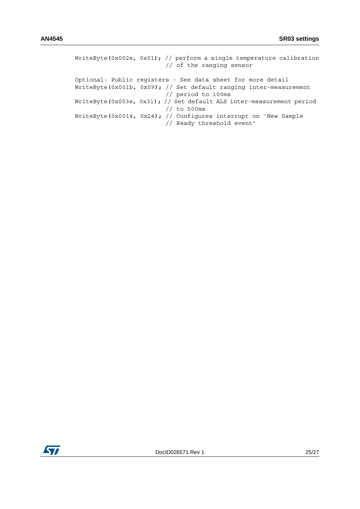| WriteByte(0x002e, 0x01); // perform a single temperature calibration<br>// of the ranging sensor |
|--------------------------------------------------------------------------------------------------|
| Optional: Public registers - See data sheet for more detail                                      |
| WriteByte(0x001b, 0x09); // Set default ranging inter-measurement                                |
| // period to 100ms                                                                               |
| WriteByte(0x003e, 0x31); // Set default ALS inter-measurement period                             |
| $//$ to 500ms                                                                                    |
| WriteByte(0x0014, 0x24); // Configures interrupt on 'New Sample<br>// Ready threshold event'     |
|                                                                                                  |

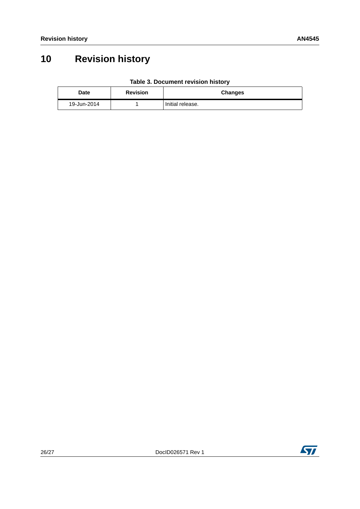## **10 Revision history**

| Table 3. Document revision history |  |  |
|------------------------------------|--|--|
|------------------------------------|--|--|

| Date        | <b>Revision</b> | <b>Changes</b>   |
|-------------|-----------------|------------------|
| 19-Jun-2014 |                 | Initial release. |